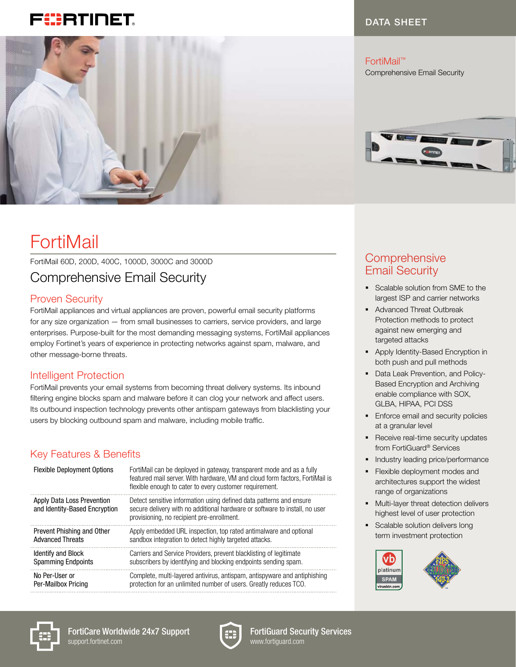# FURTINET



# FortiMail

### FortiMail 60D, 200D, 400C, 1000D, 3000C and 3000D Comprehensive Email Security

### Proven Security

FortiMail appliances and virtual appliances are proven, powerful email security platforms for any size organization — from small businesses to carriers, service providers, and large enterprises. Purpose-built for the most demanding messaging systems, FortiMail appliances employ Fortinet's years of experience in protecting networks against spam, malware, and other message-borne threats.

### Intelligent Protection

FortiMail prevents your email systems from becoming threat delivery systems. Its inbound filtering engine blocks spam and malware before it can clog your network and affect users. Its outbound inspection technology prevents other antispam gateways from blacklisting your users by blocking outbound spam and malware, including mobile traffic.

### Key Features & Benefits

| <b>Flexible Deployment Options</b>                          | FortiMail can be deployed in gateway, transparent mode and as a fully<br>featured mail server. With hardware, VM and cloud form factors, FortiMail is<br>flexible enough to cater to every customer requirement. |
|-------------------------------------------------------------|------------------------------------------------------------------------------------------------------------------------------------------------------------------------------------------------------------------|
| Apply Data Loss Prevention<br>and Identity-Based Encryption | Detect sensitive information using defined data patterns and ensure<br>secure delivery with no additional hardware or software to install, no user<br>provisioning, no recipient pre-enrollment.                 |
| Prevent Phishing and Other                                  | Apply embedded URL inspection, top rated antimalware and optional                                                                                                                                                |
| <b>Advanced Threats</b>                                     | sandbox integration to detect highly targeted attacks.                                                                                                                                                           |
| <b>Identify and Block</b>                                   | Carriers and Service Providers, prevent blacklisting of legitimate                                                                                                                                               |
| <b>Spamming Endpoints</b>                                   | subscribers by identifying and blocking endpoints sending spam.                                                                                                                                                  |
| No Per-User or                                              | Complete, multi-layered antivirus, antispam, antispyware and antiphishing                                                                                                                                        |
| Per-Mailbox Pricing                                         | protection for an unlimited number of users. Greatly reduces TCO.                                                                                                                                                |

#### DATA SHEET

FortiMail™ Comprehensive Email Security



### **Comprehensive** Email Security

- § Scalable solution from SME to the largest ISP and carrier networks
- § Advanced Threat Outbreak Protection methods to protect against new emerging and targeted attacks
- § Apply Identity-Based Encryption in both push and pull methods
- Data Leak Prevention, and Policy-Based Encryption and Archiving enable compliance with SOX, GLBA, HIPAA, PCI DSS
- **Enforce email and security policies** at a granular level
- Receive real-time security updates from FortiGuard® Services
- Industry leading price/performance
- § Flexible deployment modes and architectures support the widest range of organizations
- § Multi-layer threat detection delivers highest level of user protection
- § Scalable solution delivers long term investment protection





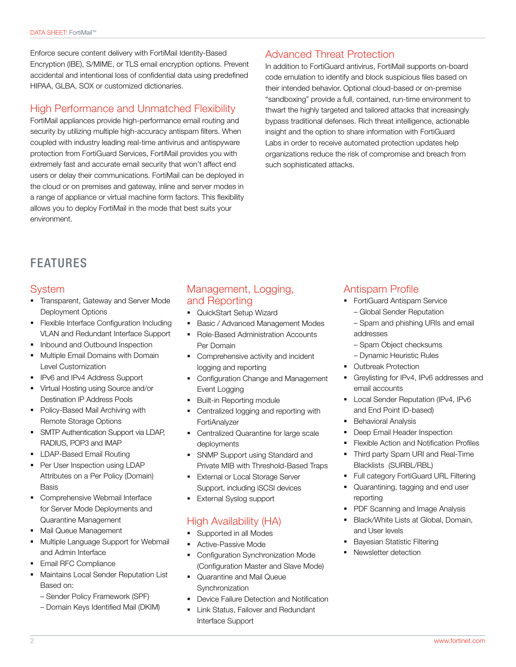Enforce secure content delivery with FortiMail Identity-Based Encryption (IBE), S/MIME, or TLS email encryption options. Prevent accidental and intentional loss of confidential data using predefined HIPAA, GLBA, SOX or customized dictionaries.

#### High Performance and Unmatched Flexibility

FortiMail appliances provide high-performance email routing and security by utilizing multiple high-accuracy antispam filters. When coupled with industry leading real-time antivirus and antispyware protection from FortiGuard Services, FortiMail provides you with extremely fast and accurate email security that won't affect end users or delay their communications. FortiMail can be deployed in the cloud or on premises and gateway, inline and server modes in a range of appliance or virtual machine form factors. This flexibility allows you to deploy FortiMail in the mode that best suits your environment.

#### Advanced Threat Protection

In addition to FortiGuard antivirus, FortiMail supports on-board code emulation to identify and block suspicious files based on their intended behavior. Optional cloud-based or on-premise "sandboxing" provide a full, contained, run-time environment to thwart the highly targeted and tailored attacks that increasingly bypass traditional defenses. Rich threat intelligence, actionable insight and the option to share information with FortiGuard Labs in order to receive automated protection updates help organizations reduce the risk of compromise and breach from such sophisticated attacks.

# FEATURES

#### System

- § Transparent, Gateway and Server Mode Deployment Options
- § Flexible Interface Configuration Including VLAN and Redundant Interface Support
- Inbound and Outbound Inspection
- **Multiple Email Domains with Domain** Level Customization
- IPv6 and IPv4 Address Support
- § Virtual Hosting using Source and/or Destination IP Address Pools
- Policy-Based Mail Archiving with Remote Storage Options
- § SMTP Authentication Support via LDAP, RADIUS, POP3 and IMAP
- § LDAP-Based Email Routing
- Per User Inspection using LDAP Attributes on a Per Policy (Domain) Basis
- Comprehensive Webmail Interface for Server Mode Deployments and Quarantine Management
- Mail Queue Management
- **Multiple Language Support for Webmail** and Admin Interface
- § Email RFC Compliance
- § Maintains Local Sender Reputation List Based on:
	- Sender Policy Framework (SPF)
	- Domain Keys Identified Mail (DKIM)

#### Management, Logging, and Reporting

- § QuickStart Setup Wizard
- Basic / Advanced Management Modes
- Role-Based Administration Accounts Per Domain
- Comprehensive activity and incident logging and reporting
- Configuration Change and Management Event Logging
- § Built-in Reporting module
- Centralized logging and reporting with **FortiAnalyzer**
- Centralized Quarantine for large scale deployments
- § SNMP Support using Standard and Private MIB with Threshold-Based Traps
- **External or Local Storage Server** Support, including iSCSI devices
- External Syslog support

### High Availability (HA)

- § Supported in all Modes
- § Active-Passive Mode
- Configuration Synchronization Mode (Configuration Master and Slave Mode)
- § Quarantine and Mail Queue Synchronization
- Device Failure Detection and Notification
- § Link Status, Failover and Redundant Interface Support

#### Antispam Profile

- FortiGuard Antispam Service
	- Global Sender Reputation
	- Spam and phishing URIs and email addresses
	- Spam Object checksums
	- Dynamic Heuristic Rules
- § Outbreak Protection
- § Greylisting for IPv4, IPv6 addresses and email accounts
- **Local Sender Reputation (IPv4, IPv6** and End Point ID-based)
- § Behavioral Analysis
- Deep Email Header Inspection
- § Flexible Action and Notification Profiles
- § Third party Spam URI and Real-Time Blacklists (SURBL/RBL)
- Full category FortiGuard URL Filtering
- Quarantining, tagging and end user reporting
- PDF Scanning and Image Analysis
- § Black/White Lists at Global, Domain, and User levels
- § Bayesian Statistic Filtering
- § Newsletter detection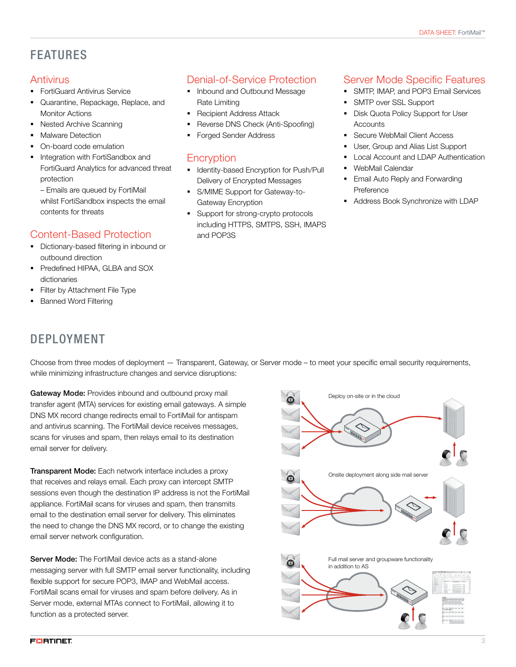# FEATURES

### **Antivirus**

- FortiGuard Antivirus Service
- § Quarantine, Repackage, Replace, and Monitor Actions
- Nested Archive Scanning
- **Malware Detection**
- § On-board code emulation
- Integration with FortiSandbox and FortiGuard Analytics for advanced threat protection

– Emails are queued by FortiMail whilst FortiSandbox inspects the email contents for threats

### Content-Based Protection

- § Dictionary-based filtering in inbound or outbound direction
- § Predefined HIPAA, GLBA and SOX dictionaries
- Filter by Attachment File Type
- **Banned Word Filtering**

# DEPLOYMENT

## Denial-of-Service Protection

- Inbound and Outbound Message Rate Limiting
- Recipient Address Attack
- § Reverse DNS Check (Anti-Spoofing)
- § Forged Sender Address

### **Encryption**

- **Identity-based Encryption for Push/Pull** Delivery of Encrypted Messages
- S/MIME Support for Gateway-to-Gateway Encryption
- § Support for strong-crypto protocols including HTTPS, SMTPS, SSH, IMAPS and POP3S

### Server Mode Specific Features

- SMTP, IMAP, and POP3 Email Services
- § SMTP over SSL Support
- Disk Quota Policy Support for User **Accounts**
- **Secure WebMail Client Access**
- User, Group and Alias List Support
- § Local Account and LDAP Authentication
- WebMail Calendar
- **Email Auto Reply and Forwarding Preference**
- § Address Book Synchronize with LDAP

Choose from three modes of deployment — Transparent, Gateway, or Server mode – to meet your specific email security requirements, while minimizing infrastructure changes and service disruptions:

Gateway Mode: Provides inbound and outbound proxy mail transfer agent (MTA) services for existing email gateways. A simple DNS MX record change redirects email to FortiMail for antispam and antivirus scanning. The FortiMail device receives messages, scans for viruses and spam, then relays email to its destination email server for delivery.

Transparent Mode: Each network interface includes a proxy that receives and relays email. Each proxy can intercept SMTP sessions even though the destination IP address is not the FortiMail appliance. FortiMail scans for viruses and spam, then transmits email to the destination email server for delivery. This eliminates the need to change the DNS MX record, or to change the existing email server network configuration.

Server Mode: The FortiMail device acts as a stand-alone messaging server with full SMTP email server functionality, including flexible support for secure POP3, IMAP and WebMail access. FortiMail scans email for viruses and spam before delivery. As in Server mode, external MTAs connect to FortiMail, allowing it to function as a protected server.

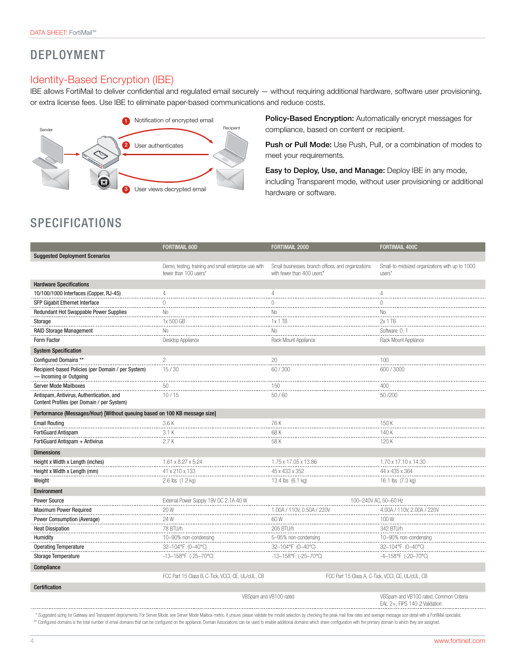## DEPLOYMENT

#### Identity-Based Encryption (IBE)

IBE allows FortiMail to deliver confidential and regulated email securely — without requiring additional hardware, software user provisioning, or extra license fees. Use IBE to eliminate paper-based communications and reduce costs.



Policy-Based Encryption: Automatically encrypt messages for compliance, based on content or recipient.

Push or Pull Mode: Use Push, Pull, or a combination of modes to meet your requirements.

Easy to Deploy, Use, and Manage: Deploy IBE in any mode, including Transparent mode, without user provisioning or additional hardware or software.

# SPECIFICATIONS

|                                                                                        | <b>FORTIMAIL 60D</b>                                                           | <b>FORTIMAIL 200D</b>                                                             | <b>FORTIMAIL 400C</b>                                     |  |  |
|----------------------------------------------------------------------------------------|--------------------------------------------------------------------------------|-----------------------------------------------------------------------------------|-----------------------------------------------------------|--|--|
| <b>Suggested Deployment Scenarios</b>                                                  |                                                                                |                                                                                   |                                                           |  |  |
|                                                                                        | Demo, testing, training and small enterprise use with<br>fewer than 100 users* | Small businesses, branch offices, and organizations<br>with fewer than 400 users* | Small-to-midsized organizations with up to 1000<br>users* |  |  |
|                                                                                        |                                                                                |                                                                                   |                                                           |  |  |
| <b>Hardware Specifications</b>                                                         | 4                                                                              |                                                                                   |                                                           |  |  |
| 10/100/1000 Interfaces (Copper, RJ-45)                                                 |                                                                                |                                                                                   | 4                                                         |  |  |
| SFP Gigabit Ethernet Interface                                                         | U                                                                              |                                                                                   |                                                           |  |  |
| Redundant Hot Swappable Power Supplies                                                 | No.<br>.                                                                       | No<br>.                                                                           | No.<br>.                                                  |  |  |
| Storage                                                                                | 1x 500 GB                                                                      | 1x 1TB<br>.                                                                       | 2x 1 TB                                                   |  |  |
| RAID Storage Management                                                                | No                                                                             | No                                                                                | Software: 0.1                                             |  |  |
| Form Factor                                                                            | Desktop Appliance                                                              | Rack Mount Appliance                                                              | Rack Mount Appliance                                      |  |  |
| <b>System Specification</b>                                                            |                                                                                |                                                                                   |                                                           |  |  |
| Configured Domains **                                                                  | 2                                                                              | 20                                                                                | 100                                                       |  |  |
| Recipient-based Policies (per Domain / per System)<br>- Incoming or Outgoing           | 15/30                                                                          | 60/300                                                                            | 600/3000                                                  |  |  |
| <b>Server Mode Mailboxes</b>                                                           | 50                                                                             | 150                                                                               | 400                                                       |  |  |
| Antispam, Antivirus, Authentication, and<br>Content Profiles (per Domain / per System) | 10/15                                                                          | 50/60                                                                             | 50/200                                                    |  |  |
| Performance (Messages/Hour) [Without queuing based on 100 KB message size]             |                                                                                |                                                                                   |                                                           |  |  |
| <b>Email Routing</b>                                                                   | 3.6K                                                                           | 76 K                                                                              | 150 K                                                     |  |  |
| FortiGuard Antispam                                                                    | 3.1K                                                                           | 68 K                                                                              | 140 K                                                     |  |  |
| FortiGuard Antispam + Antivirus                                                        | 2.7K                                                                           | 58 K                                                                              | 120K                                                      |  |  |
| <b>Dimensions</b>                                                                      |                                                                                |                                                                                   |                                                           |  |  |
| Height x Width x Length (inches)                                                       | 1.61 x 8.27 x 5.24                                                             | 1.75 x 17.05 x 13.86                                                              | 1.70 x 17.10 x 14.30                                      |  |  |
| Height x Width x Length (mm)                                                           | 41 x 210 x 133                                                                 | 45 x 433 x 352                                                                    | 44 x 435 x 364                                            |  |  |
| Weight                                                                                 | 2.6 lbs (1.2 kg)                                                               | 13.4 lbs (6.1 kg)                                                                 | 16.1 lbs (7.3 kg)                                         |  |  |
| <b>Environment</b>                                                                     |                                                                                |                                                                                   |                                                           |  |  |
| Power Source                                                                           | External Power Supply 19V DC 2.1A 40 W                                         |                                                                                   | 100-240V AC, 50-60 Hz                                     |  |  |
| <b>Maximum Power Required</b>                                                          | 20 W                                                                           | 1.00A / 110V. 0.50A / 220V                                                        | 4.00A / 110V, 2.00A / 220                                 |  |  |
| Power Consumption (Average)                                                            | 24 W<br>.                                                                      | 60 W<br>.                                                                         | 100W<br>.                                                 |  |  |
| <b>Heat Dissipation</b>                                                                | 78 BTU/h                                                                       | 205 BTU/h                                                                         | 342 BTU/h                                                 |  |  |
| <b>Humidity</b>                                                                        | 10-90% non-condensing                                                          | 5-95% non-condensing                                                              | 10-90% non-condensing                                     |  |  |
| <b>Operating Temperature</b>                                                           | 32-104°F (0-40°C)                                                              | 32-104°F (0-40°C)                                                                 | 32-104°F (0-40°C)                                         |  |  |
| Storage Temperature                                                                    | -13-158°F (-25-70°C)                                                           | -13-158°F (-25-70°C)                                                              | -4-158°F (-20-70°C)                                       |  |  |
| Compliance                                                                             |                                                                                |                                                                                   |                                                           |  |  |
|                                                                                        | FCC Part 15 Class B, C-Tick, VCCI, CE, UL/cUL, CB                              |                                                                                   | FCC Part 15 Class A, C-Tick, VCCI, CE, UL/cUL, CB         |  |  |
| <b>Certification</b>                                                                   |                                                                                |                                                                                   |                                                           |  |  |

VBSpam and VB100 rated VBSpam and VB100 rated, Common Criteria EAL 2+, FIPS 140-2 Validation 

\* Suggested sizing for Gateway and Transparent deployments. For Server Mode, see Server Mode Malibox metric. If unsure, please validate the model selection by checking the peak mail flow rates and average message size deta \*\* Configured domains is the total number of email domains that can be configured on the appliance. Domain Associations can be used to enable additional domains which share configuration with the primary domain to which th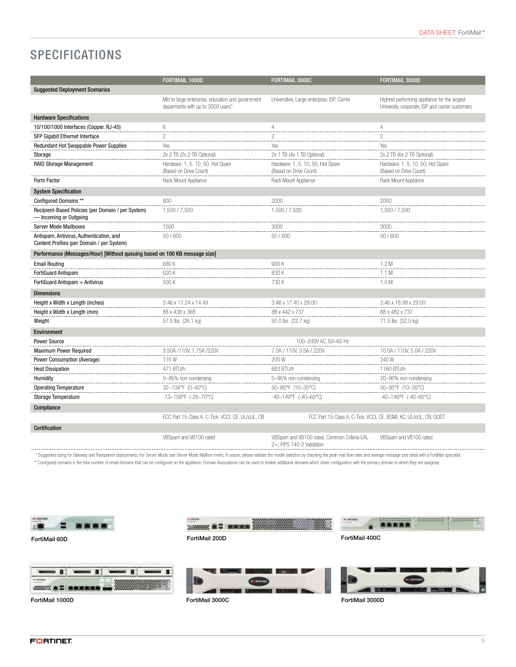# **SPECIFICATIONS**

|                                                                                        | FORTIMAIL 1000D                                                                        | FORTIMAIL 3000C                                                          | <b>FORTIMAIL 3000D</b>                                                                           |  |
|----------------------------------------------------------------------------------------|----------------------------------------------------------------------------------------|--------------------------------------------------------------------------|--------------------------------------------------------------------------------------------------|--|
| <b>Suggested Deployment Scenarios</b>                                                  |                                                                                        |                                                                          |                                                                                                  |  |
|                                                                                        | Mid to large enterprise, education and government<br>deparments with up to 3000 users* | Universities, Large enterprise, ISP, Carrier                             | Highest performing appliance for the largest<br>University, corporate, ISP and carrier customers |  |
| <b>Hardware Specifications</b>                                                         |                                                                                        |                                                                          |                                                                                                  |  |
| 10/100/1000 Interfaces (Copper, RJ-45)                                                 | 6                                                                                      | 4                                                                        | 4                                                                                                |  |
| SFP Gigabit Ethernet Interface                                                         | 2                                                                                      | $\mathfrak{p}$                                                           | $\overline{c}$                                                                                   |  |
| Redundant Hot Swappable Power Supplies                                                 | Yes                                                                                    | Yes                                                                      | Yes                                                                                              |  |
| Storage                                                                                | 2x 2 TB (2x 2 TB Optional)                                                             | 2x 1 TB (4x 1 TB Optional)                                               | 2x 2 TB (6x 2 TB Optional)                                                                       |  |
| <b>RAID Storage Management</b>                                                         | Hardware: 1, 5, 10, 50, Hot Spare<br>(Based on Drive Count)                            | Hardware: 1, 5, 10, 50, Hot Spare<br>(Based on Drive Count)              | Hardware: 1, 5, 10, 50, Hot Spare<br>(Based on Drive Count)                                      |  |
| Form Factor                                                                            | Rack Mount Appliance                                                                   | Rack Mount Appliance                                                     | Rack Mount Appliance                                                                             |  |
| <b>System Specification</b>                                                            |                                                                                        |                                                                          |                                                                                                  |  |
| Configured Domains **                                                                  | 800                                                                                    | 2000                                                                     | 2000                                                                                             |  |
| Recipient-Based Policies (per Domain / per System)<br>- Incoming or Outgoing           | 1.500 / 7.500                                                                          | 1.500 / 7.500                                                            | 1,500 / 7,500                                                                                    |  |
| <b>Server Mode Mailboxes</b>                                                           | 1500                                                                                   | 3000                                                                     | 3000                                                                                             |  |
| Antispam, Antivirus, Authentication, and<br>Content Profiles (per Domain / per System) | 50/600                                                                                 | 50/600                                                                   | 50/600                                                                                           |  |
| Performance (Messages/Hour) [Without queuing based on 100 KB message size]             |                                                                                        |                                                                          |                                                                                                  |  |
| <b>Email Routing</b>                                                                   | 680K                                                                                   | 900 K                                                                    | 1.2M                                                                                             |  |
| FortiGuard Antispam                                                                    | 620 K                                                                                  | 830K                                                                     | 1.1 M                                                                                            |  |
| FortiGuard Antispam + Antivirus                                                        | 500 K                                                                                  | 730 K                                                                    | 1.0 <sub>M</sub>                                                                                 |  |
| <b>Dimensions</b>                                                                      |                                                                                        |                                                                          |                                                                                                  |  |
| Height x Width x Length (inches)                                                       | 3.46 x 17.24 x 14.49                                                                   | 3.46 x 17.40 x 29.00                                                     | 3.46 x 18.99 x 29.00                                                                             |  |
| Height x Width x Length (mm)                                                           | 88 x 438 x 368                                                                         | 88 x 442 x 737                                                           | 88 x 482 x 737                                                                                   |  |
| Weight                                                                                 | 57.5 lbs (26.1 kg)                                                                     | 50.0 lbs (22.7 kg)                                                       | 71.5 lbs (32.5 kg)                                                                               |  |
| <b>Environment</b>                                                                     |                                                                                        |                                                                          |                                                                                                  |  |
| Power Source                                                                           |                                                                                        | 100-240V AC, 50-60 Hz                                                    |                                                                                                  |  |
| Maximum Power Required                                                                 | 3.50A /110V, 1.75A /220                                                                | 7.0A / 110V, 3.5A / 220V                                                 | 10.0A / 110V, 5.0A / 220                                                                         |  |
| Power Consumption (Average)                                                            | 115W                                                                                   | 200 W                                                                    | 340 W                                                                                            |  |
| <b>Heat Dissipation</b>                                                                | 471 BTU/h                                                                              | 683 BTU/h                                                                | 1160 BTU/h                                                                                       |  |
| Humidity                                                                               | 5-95% non-condensing                                                                   | 5-95% non-condensing                                                     | 20-90% non-condensing                                                                            |  |
| <b>Operating Temperature</b>                                                           | 32-104°F (0-40°C)                                                                      | 50-95°F (10-35°C)                                                        | 50-95°F (10-35°C)                                                                                |  |
| <b>Storage Temperature</b>                                                             | -13-158°F (-25-70°C)                                                                   | -40-149°F (-40-65°C)                                                     | -40-149°F (-40-65°C)                                                                             |  |
| Compliance                                                                             |                                                                                        |                                                                          |                                                                                                  |  |
|                                                                                        | FCC Part 15 Class A, C-Tick, VCCI, CE, UL/cUL, CB                                      |                                                                          | FCC Part 15 Class A, C-Tick, VCCI, CE, BSMI, KC, UL/cUL, CB, GOST                                |  |
| <b>Certification</b>                                                                   |                                                                                        |                                                                          |                                                                                                  |  |
|                                                                                        | VBSpam and VB100 rated                                                                 | VBSpam and VB100 rated, Common Criteria EAL<br>2+, FIPS 140-2 Validation | VBSpam and VB100 rated                                                                           |  |

\* Suggested sizing for Gateway and Transparent deployments. For Server Mode, see Server Mode Malibox metric. If unsure, please validate the model selection by checking the peak mail flow rates and average message size deta \*\* Configured domains is the total number of email domains that can be configured on the appliance. Domain Associations can be used to enable additional domains which share configuration with the primary domain to which th





FortiMail 60D

FortiMail 1000D FortiMail 3000C FortiMail 3000D